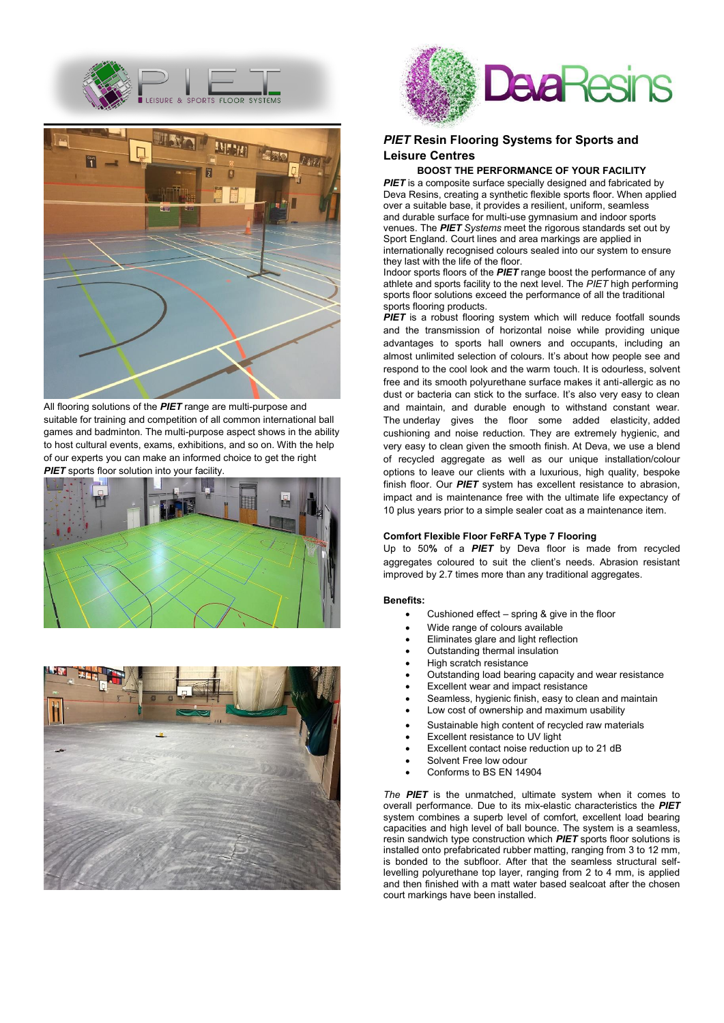



All flooring solutions of the *PIET* range are multi-purpose and suitable for training and competition of all common international ball games and badminton. The multi-purpose aspect shows in the ability to host cultural events, exams, exhibitions, and so on. With the help of our experts you can make an informed choice to get the right **PIET** sports floor solution into your facility.







# *PIET* **Resin Flooring Systems for Sports and Leisure Centres**

## **BOOST THE PERFORMANCE OF YOUR FACILITY**

**PIET** is a composite surface specially designed and fabricated by Deva Resins, creating a synthetic flexible sports floor. When applied over a suitable base, it provides a resilient, uniform, seamless and durable surface for multi-use gymnasium and indoor sports venues. The *PIET Systems* meet the rigorous standards set out by Sport England. Court lines and area markings are applied in internationally recognised colours sealed into our system to ensure they last with the life of the floor.

Indoor sports floors of the *PIET* range boost the performance of any athlete and sports facility to the next level. The *PIET* high performing sports floor solutions exceed the performance of all the traditional sports flooring products.

**PIET** is a robust flooring system which will reduce footfall sounds and the transmission of horizontal noise while providing unique advantages to sports hall owners and occupants, including an almost unlimited selection of colours. It's about how people see and respond to the cool look and the warm touch. It is odourless, solvent free and its smooth polyurethane surface makes it anti-allergic as no dust or bacteria can stick to the surface. It's also very easy to clean and maintain, and durable enough to withstand constant wear. The underlay gives the floor some added elasticity, added cushioning and noise reduction. They are extremely hygienic, and very easy to clean given the smooth finish. At Deva, we use a blend of recycled aggregate as well as our unique installation/colour options to leave our clients with a luxurious, high quality, bespoke finish floor. Our *PIET* system has excellent resistance to abrasion, impact and is maintenance free with the ultimate life expectancy of 10 plus years prior to a simple sealer coat as a maintenance item.

#### **Comfort Flexible Floor FeRFA Type 7 Flooring**

Up to 50**%** of a *PIET* by Deva floor is made from recycled aggregates coloured to suit the client's needs. Abrasion resistant improved by 2.7 times more than any traditional aggregates.

#### **Benefits:**

- Cushioned effect spring  $&$  give in the floor
- Wide range of colours available
- Eliminates glare and light reflection
- Outstanding thermal insulation
- High scratch resistance
- Outstanding load bearing capacity and wear resistance
- x Excellent wear and impact resistance
- Seamless, hygienic finish, easy to clean and maintain
- Low cost of ownership and maximum usability
- Sustainable high content of recycled raw materials
- x Excellent resistance to UV light
- Excellent contact noise reduction up to 21 dB
- Solvent Free low odour
- Conforms to BS EN 14904

*The PIET* is the unmatched, ultimate system when it comes to overall performance. Due to its mix-elastic characteristics the *PIET* system combines a superb level of comfort, excellent load bearing capacities and high level of ball bounce. The system is a seamless, resin sandwich type construction which *PIET* sports floor solutions is installed onto prefabricated rubber matting, ranging from 3 to 12 mm, is bonded to the subfloor. After that the seamless structural selflevelling polyurethane top layer, ranging from 2 to 4 mm, is applied and then finished with a matt water based sealcoat after the chosen court markings have been installed.